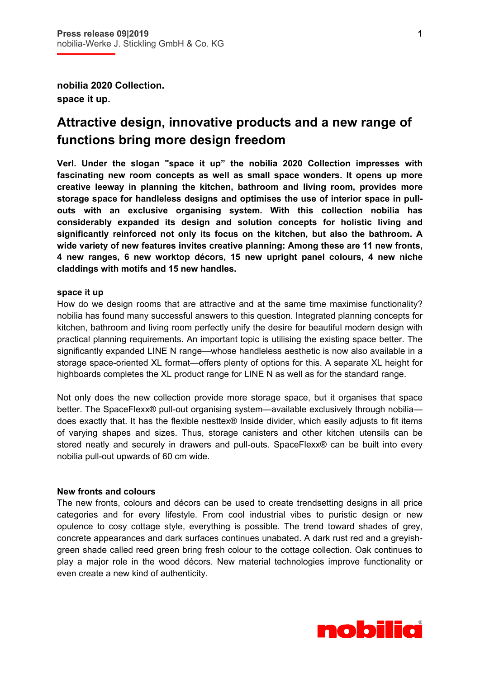**nobilia 2020 Collection. space it up.** 

# **Attractive design, innovative products and a new range of functions bring more design freedom**

**Verl. Under the slogan "space it up" the nobilia 2020 Collection impresses with fascinating new room concepts as well as small space wonders. It opens up more creative leeway in planning the kitchen, bathroom and living room, provides more storage space for handleless designs and optimises the use of interior space in pullouts with an exclusive organising system. With this collection nobilia has considerably expanded its design and solution concepts for holistic living and significantly reinforced not only its focus on the kitchen, but also the bathroom. A wide variety of new features invites creative planning: Among these are 11 new fronts, 4 new ranges, 6 new worktop décors, 15 new upright panel colours, 4 new niche claddings with motifs and 15 new handles.** 

## **space it up**

How do we design rooms that are attractive and at the same time maximise functionality? nobilia has found many successful answers to this question. Integrated planning concepts for kitchen, bathroom and living room perfectly unify the desire for beautiful modern design with practical planning requirements. An important topic is utilising the existing space better. The significantly expanded LINE N range—whose handleless aesthetic is now also available in a storage space-oriented XL format—offers plenty of options for this. A separate XL height for highboards completes the XL product range for LINE N as well as for the standard range.

Not only does the new collection provide more storage space, but it organises that space better. The SpaceFlexx® pull-out organising system—available exclusively through nobilia does exactly that. It has the flexible nesttex® Inside divider, which easily adjusts to fit items of varying shapes and sizes. Thus, storage canisters and other kitchen utensils can be stored neatly and securely in drawers and pull-outs. SpaceFlexx® can be built into every nobilia pull-out upwards of 60 cm wide.

## **New fronts and colours**

The new fronts, colours and décors can be used to create trendsetting designs in all price categories and for every lifestyle. From cool industrial vibes to puristic design or new opulence to cosy cottage style, everything is possible. The trend toward shades of grey, concrete appearances and dark surfaces continues unabated. A dark rust red and a greyishgreen shade called reed green bring fresh colour to the cottage collection. Oak continues to play a major role in the wood décors. New material technologies improve functionality or even create a new kind of authenticity.

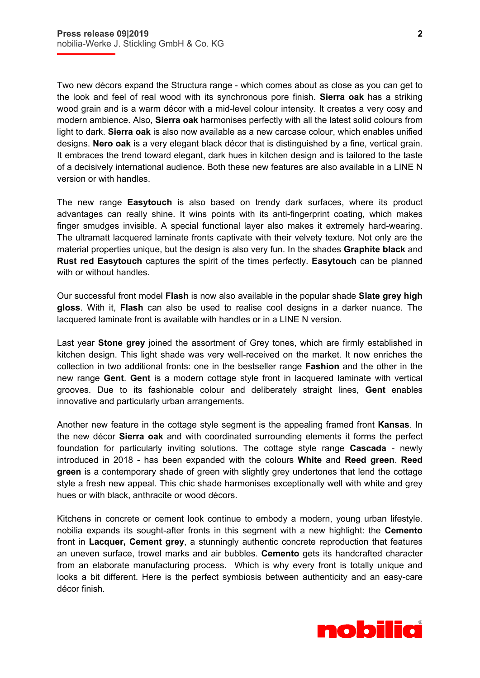i

Two new décors expand the Structura range - which comes about as close as you can get to the look and feel of real wood with its synchronous pore finish. **Sierra oak** has a striking wood grain and is a warm décor with a mid-level colour intensity. It creates a very cosy and modern ambience. Also, **Sierra oak** harmonises perfectly with all the latest solid colours from light to dark. **Sierra oak** is also now available as a new carcase colour, which enables unified designs. **Nero oak** is a very elegant black décor that is distinguished by a fine, vertical grain. It embraces the trend toward elegant, dark hues in kitchen design and is tailored to the taste of a decisively international audience. Both these new features are also available in a LINE N version or with handles.

The new range **Easytouch** is also based on trendy dark surfaces, where its product advantages can really shine. It wins points with its anti-fingerprint coating, which makes finger smudges invisible. A special functional layer also makes it extremely hard-wearing. The ultramatt lacquered laminate fronts captivate with their velvety texture. Not only are the material properties unique, but the design is also very fun. In the shades **Graphite black** and **Rust red Easytouch** captures the spirit of the times perfectly. **Easytouch** can be planned with or without handles.

Our successful front model **Flash** is now also available in the popular shade **Slate grey high gloss**. With it, **Flash** can also be used to realise cool designs in a darker nuance. The lacquered laminate front is available with handles or in a LINE N version.

Last year **Stone grey** joined the assortment of Grey tones, which are firmly established in kitchen design. This light shade was very well-received on the market. It now enriches the collection in two additional fronts: one in the bestseller range **Fashion** and the other in the new range **Gent**. **Gent** is a modern cottage style front in lacquered laminate with vertical grooves. Due to its fashionable colour and deliberately straight lines, **Gent** enables innovative and particularly urban arrangements.

Another new feature in the cottage style segment is the appealing framed front **Kansas**. In the new décor **Sierra oak** and with coordinated surrounding elements it forms the perfect foundation for particularly inviting solutions. The cottage style range **Cascada** - newly introduced in 2018 - has been expanded with the colours **White** and **Reed green**. **Reed green** is a contemporary shade of green with slightly grey undertones that lend the cottage style a fresh new appeal. This chic shade harmonises exceptionally well with white and grey hues or with black, anthracite or wood décors.

Kitchens in concrete or cement look continue to embody a modern, young urban lifestyle. nobilia expands its sought-after fronts in this segment with a new highlight: the **Cemento** front in **Lacquer, Cement grey**, a stunningly authentic concrete reproduction that features an uneven surface, trowel marks and air bubbles. **Cemento** gets its handcrafted character from an elaborate manufacturing process. Which is why every front is totally unique and looks a bit different. Here is the perfect symbiosis between authenticity and an easy-care décor finish.

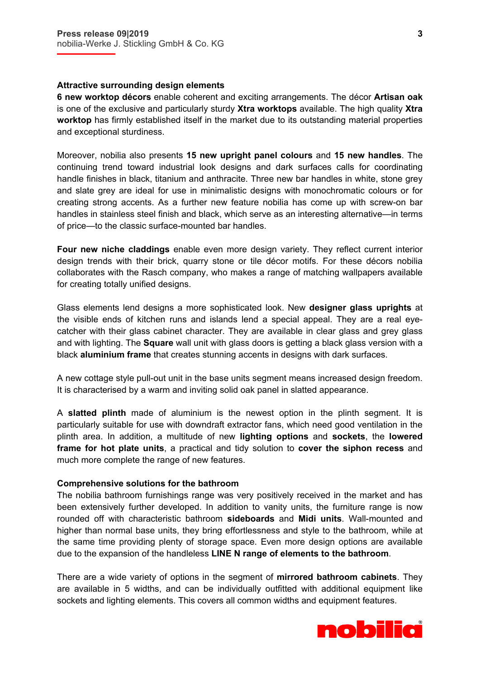i

## **Attractive surrounding design elements**

**6 new worktop décors** enable coherent and exciting arrangements. The décor **Artisan oak** is one of the exclusive and particularly sturdy **Xtra worktops** available. The high quality **Xtra worktop** has firmly established itself in the market due to its outstanding material properties and exceptional sturdiness.

Moreover, nobilia also presents **15 new upright panel colours** and **15 new handles**. The continuing trend toward industrial look designs and dark surfaces calls for coordinating handle finishes in black, titanium and anthracite. Three new bar handles in white, stone grey and slate grey are ideal for use in minimalistic designs with monochromatic colours or for creating strong accents. As a further new feature nobilia has come up with screw-on bar handles in stainless steel finish and black, which serve as an interesting alternative—in terms of price—to the classic surface-mounted bar handles.

**Four new niche claddings** enable even more design variety. They reflect current interior design trends with their brick, quarry stone or tile décor motifs. For these décors nobilia collaborates with the Rasch company, who makes a range of matching wallpapers available for creating totally unified designs.

Glass elements lend designs a more sophisticated look. New **designer glass uprights** at the visible ends of kitchen runs and islands lend a special appeal. They are a real eyecatcher with their glass cabinet character. They are available in clear glass and grey glass and with lighting. The **Square** wall unit with glass doors is getting a black glass version with a black **aluminium frame** that creates stunning accents in designs with dark surfaces.

A new cottage style pull-out unit in the base units segment means increased design freedom. It is characterised by a warm and inviting solid oak panel in slatted appearance.

A **slatted plinth** made of aluminium is the newest option in the plinth segment. It is particularly suitable for use with downdraft extractor fans, which need good ventilation in the plinth area. In addition, a multitude of new **lighting options** and **sockets**, the **lowered frame for hot plate units**, a practical and tidy solution to **cover the siphon recess** and much more complete the range of new features.

## **Comprehensive solutions for the bathroom**

The nobilia bathroom furnishings range was very positively received in the market and has been extensively further developed. In addition to vanity units, the furniture range is now rounded off with characteristic bathroom **sideboards** and **Midi units**. Wall-mounted and higher than normal base units, they bring effortlessness and style to the bathroom, while at the same time providing plenty of storage space. Even more design options are available due to the expansion of the handleless **LINE N range of elements to the bathroom**.

There are a wide variety of options in the segment of **mirrored bathroom cabinets**. They are available in 5 widths, and can be individually outfitted with additional equipment like sockets and lighting elements. This covers all common widths and equipment features.